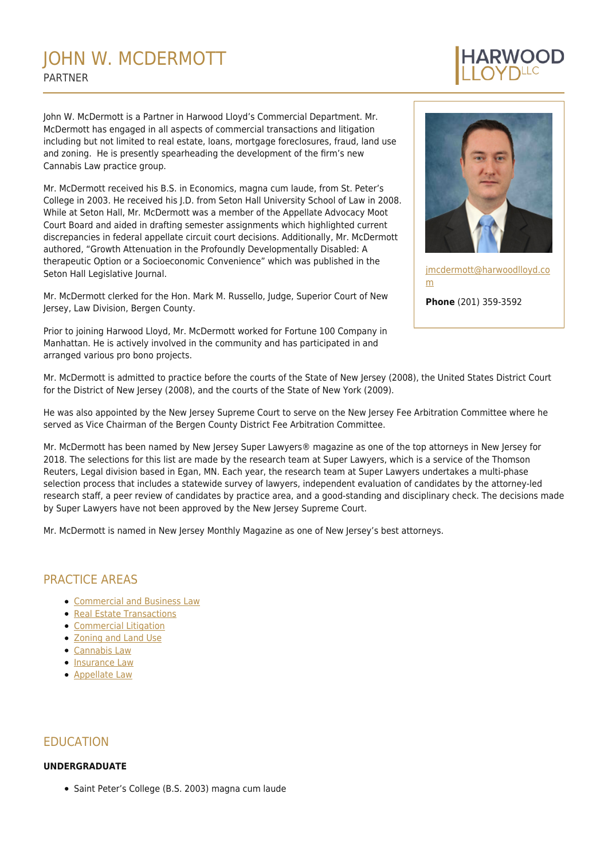# JOHN W. MCDERMOTT PARTNER

John W. McDermott is a Partner in Harwood Lloyd's Commercial Department. Mr. McDermott has engaged in all aspects of commercial transactions and litigation including but not limited to real estate, loans, mortgage foreclosures, fraud, land use and zoning. He is presently spearheading the development of the firm's new Cannabis Law practice group.

Mr. McDermott received his B.S. in Economics, magna cum laude, from St. Peter's College in 2003. He received his J.D. from Seton Hall University School of Law in 2008. While at Seton Hall, Mr. McDermott was a member of the Appellate Advocacy Moot Court Board and aided in drafting semester assignments which highlighted current discrepancies in federal appellate circuit court decisions. Additionally, Mr. McDermott authored, "Growth Attenuation in the Profoundly Developmentally Disabled: A therapeutic Option or a Socioeconomic Convenience" which was published in the Seton Hall Legislative Journal.

Mr. McDermott clerked for the Hon. Mark M. Russello, Judge, Superior Court of New Jersey, Law Division, Bergen County.

Prior to joining Harwood Lloyd, Mr. McDermott worked for Fortune 100 Company in Manhattan. He is actively involved in the community and has participated in and arranged various pro bono projects.



[jmcdermott@harwoodlloyd.co](mailto: jmcdermott@harwoodlloyd.com) [m](mailto: jmcdermott@harwoodlloyd.com) **Phone** (201) 359-3592

Mr. McDermott is admitted to practice before the courts of the State of New Jersey (2008), the United States District Court for the District of New Jersey (2008), and the courts of the State of New York (2009).

He was also appointed by the New Jersey Supreme Court to serve on the New Jersey Fee Arbitration Committee where he served as Vice Chairman of the Bergen County District Fee Arbitration Committee.

Mr. McDermott has been named by New Jersey Super Lawyers® magazine as one of the top attorneys in New Jersey for 2018. The selections for this list are made by the research team at Super Lawyers, which is a service of the Thomson Reuters, Legal division based in Egan, MN. Each year, the research team at Super Lawyers undertakes a multi-phase selection process that includes a statewide survey of lawyers, independent evaluation of candidates by the attorney-led research staff, a peer review of candidates by practice area, and a good-standing and disciplinary check. The decisions made by Super Lawyers have not been approved by the New Jersey Supreme Court.

Mr. McDermott is named in New Jersey Monthly Magazine as one of New Jersey's best attorneys.

# PRACTICE AREAS

- [Commercial and Business Law](https://harwoodlloyd.com/practices/commercial-business-law/)
- [Real Estate Transactions](https://harwoodlloyd.com/practices/real-estate-transactions/)
- **[Commercial Litigation](https://harwoodlloyd.com/practices/commercial-litigation/)**
- [Zoning and Land Use](https://harwoodlloyd.com/practices/zoning-and-land-use/)
- [Cannabis Law](https://harwoodlloyd.com/practices/cannabis-law/)
- [Insurance Law](https://harwoodlloyd.com/practices/insurance-law/)
- [Appellate Law](https://harwoodlloyd.com/practices/appellate-law/)

# EDUCATION

#### **UNDERGRADUATE**

• Saint Peter's College (B.S. 2003) magna cum laude